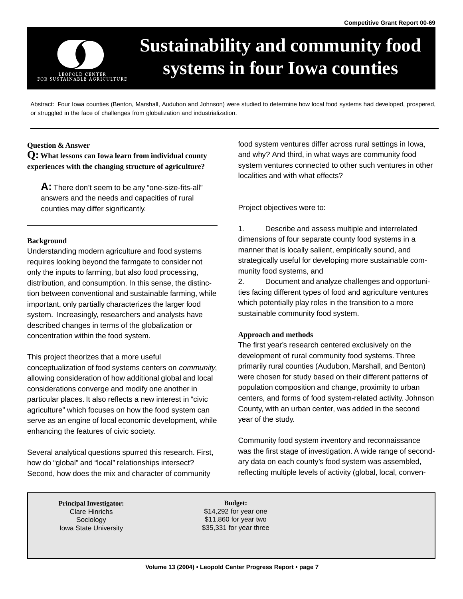

# **Sustainability and community food systems in four Iowa counties**

Abstract: Four Iowa counties (Benton, Marshall, Audubon and Johnson) were studied to determine how local food systems had developed, prospered, or struggled in the face of challenges from globalization and industrialization.

#### **Question & Answer**

**Q: What lessons can Iowa learn from individual county experiences with the changing structure of agriculture?** 

**A:** There don't seem to be any "one-size-fits-all" answers and the needs and capacities of rural counties may differ significantly.

#### **Background**

important, only partially characterizes the larger food. The which Understanding modern agriculture and food systems requires looking beyond the farmgate to consider not only the inputs to farming, but also food processing, distribution, and consumption. In this sense, the distinction between conventional and sustainable farming, while system. Increasingly, researchers and analysts have described changes in terms of the globalization or concentration within the food system.

This project theorizes that a more useful

conceptualization of food systems centers on community, allowing consideration of how additional global and local considerations converge and modify one another in particular places. It also reflects a new interest in "civic agriculture" which focuses on how the food system can serve as an engine of local economic development, while enhancing the features of civic society.

Several analytical questions spurred this research. First, how do "global" and "local" relationships intersect? Second, how does the mix and character of community

food system ventures differ across rural settings in Iowa, and why? And third, in what ways are community food system ventures connected to other such ventures in other localities and with what effects?

Project objectives were to:

1. Describe and assess multiple and interrelated dimensions of four separate county food systems in a manner that is locally salient, empirically sound, and strategically useful for developing more sustainable community food systems, and

2. Document and analyze challenges and opportunities facing different types of food and agriculture ventures which potentially play roles in the transition to a more sustainable community food system.

#### **Approach and methods**

The first year's research centered exclusively on the development of rural community food systems. Three primarily rural counties (Audubon, Marshall, and Benton) were chosen for study based on their different patterns of population composition and change, proximity to urban centers, and forms of food system-related activity. Johnson County, with an urban center, was added in the second year of the study.

Community food system inventory and reconnaissance was the first stage of investigation. A wide range of secondary data on each county's food system was assembled, reflecting multiple levels of activity (global, local, conven-

**Principal Investigator: Budget: Budget:** 

Clare Hinrichs  $$14,292$  for year one Sociology \$11,860 for year two Iowa State University **\$35,331** for year three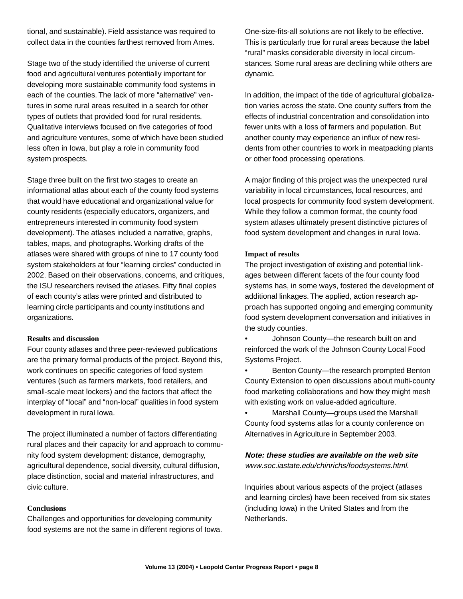tional, and sustainable). Field assistance was required to collect data in the counties farthest removed from Ames.

Stage two of the study identified the universe of current food and agricultural ventures potentially important for developing more sustainable community food systems in each of the counties. The lack of more "alternative" ventures in some rural areas resulted in a search for other types of outlets that provided food for rural residents. Qualitative interviews focused on five categories of food and agriculture ventures, some of which have been studied less often in Iowa, but play a role in community food system prospects.

Stage three built on the first two stages to create an informational atlas about each of the county food systems that would have educational and organizational value for county residents (especially educators, organizers, and entrepreneurs interested in community food system development). The atlases included a narrative, graphs, tables, maps, and photographs. Working drafts of the atlases were shared with groups of nine to 17 county food system stakeholders at four "learning circles" conducted in 2002. Based on their observations, concerns, and critiques, the ISU researchers revised the atlases. Fifty final copies of each county's atlas were printed and distributed to learning circle participants and county institutions and organizations.

#### **Results and discussion**

Four county atlases and three peer-reviewed publications are the primary formal products of the project. Beyond this, work continues on specific categories of food system ventures (such as farmers markets, food retailers, and small-scale meat lockers) and the factors that affect the interplay of "local" and "non-local" qualities in food system development in rural Iowa.

The project illuminated a number of factors differentiating rural places and their capacity for and approach to community food system development: distance, demography, agricultural dependence, social diversity, cultural diffusion, place distinction, social and material infrastructures, and civic culture.

## **Conclusions**

Challenges and opportunities for developing community food systems are not the same in different regions of Iowa. One-size-fits-all solutions are not likely to be effective. This is particularly true for rural areas because the label "rural" masks considerable diversity in local circumstances. Some rural areas are declining while others are dynamic.

In addition, the impact of the tide of agricultural globalization varies across the state. One county suffers from the effects of industrial concentration and consolidation into fewer units with a loss of farmers and population. But another county may experience an influx of new residents from other countries to work in meatpacking plants or other food processing operations.

A major finding of this project was the unexpected rural variability in local circumstances, local resources, and local prospects for community food system development. While they follow a common format, the county food system atlases ultimately present distinctive pictures of food system development and changes in rural Iowa.

# **Impact of results**

The project investigation of existing and potential linkages between different facets of the four county food systems has, in some ways, fostered the development of additional linkages. The applied, action research approach has supported ongoing and emerging community food system development conversation and initiatives in the study counties.

• Johnson County—the research built on and reinforced the work of the Johnson County Local Food Systems Project.

- Benton County—the research prompted Benton County Extension to open discussions about multi-county food marketing collaborations and how they might mesh with existing work on value-added agriculture.
- Marshall County—groups used the Marshall County food systems atlas for a county conference on Alternatives in Agriculture in September 2003.

**Note: these studies are available on the web site**  www.soc.iastate.edu/chinrichs/foodsystems.html.

Inquiries about various aspects of the project (atlases and learning circles) have been received from six states (including Iowa) in the United States and from the Netherlands.